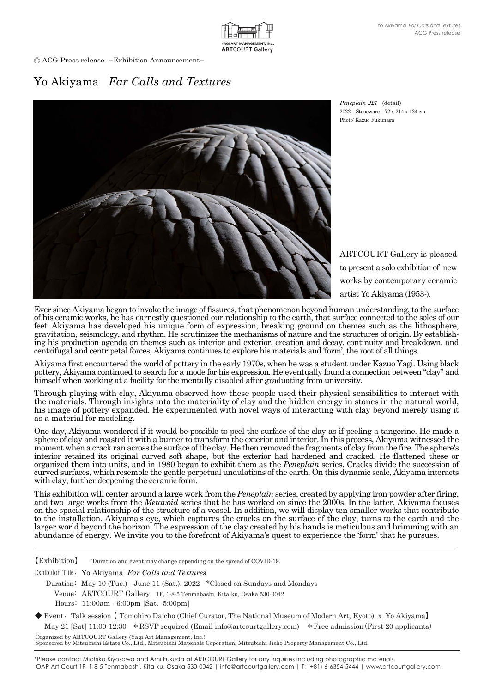

◎ ACG Press release -Exhibition Announcement-

# Yo Akiyama *Far Calls and Textures*



*Peneplain 221* (detail) 2022|Stoneware|72 x 214 x 124 cm Photo:Kazuo Fukunaga

ARTCOURT Gallery is pleased to present a solo exhibition of new works by contemporary ceramic artist Yo Akiyama (1953-).

Ever since Akiyama began to invoke the image of fissures, that phenomenon beyond human understanding, to the surface of his ceramic works, he has earnestly questioned our relationship to the earth, that surface connected to the soles of our feet. Akiyama has developed his unique form of expression, breaking ground on themes such as the lithosphere, gravitation, seismology, and rhythm. He scrutinizes the mechanisms of nature and the structures of origin. By establishing his production agenda on themes such as interior and exterior, creation and decay, continuity and b centrifugal and centripetal forces, Akiyama continues to explore his materials and 'form', the root of all things.

Akiyama first encountered the world of pottery in the early 1970s, when he was a student under Kazuo Yagi. Using black pottery, Akiyama continued to search for a mode for his expression. He eventually found a connection between "clay" and himself when working at a facility for the mentally disabled after graduating from university.

Through playing with clay, Akiyama observed how these people used their physical sensibilities to interact with the materials. Through insights into the materiality of clay and the hidden energy in stones in the natural world, his image of pottery expanded. He experimented with novel ways of interacting with clay beyond merely using it as a material for modeling.

One day, Akiyama wondered if it would be possible to peel the surface of the clay as if peeling a tangerine. He made a sphere of clay and roasted it with a burner to transform the exterior and interior. In this process, Akiyama witnessed the moment when a crack ran across the surface of the clay. He then removed the fragments of clay from the fire. The sphere's interior retained its original curved soft shape, but the exterior had hardened and cracked. He flattened these or organized them into units, and in 1980 began to exhibit them as the *Peneplain* series. Cracks divide the succession of curved surfaces, which resemble the gentle perpetual undulations of the earth. On this dynamic scale, Akiyama interacts with clay, further deepening the ceramic form.

This exhibition will center around a large work from the *Peneplain* series, created by applying iron powder after firing, and two large works from the *Metavoid* series that he has worked on since the 2000s. In the latter, Akiyama focuses on the spacial relationship of the structure of a vessel. In addition, we will display ten smaller works that contribute to the installation. Akiyama's eye, which captures the cracks on the surface of the clay, turns to the earth and the larger world beyond the horizon. The expression of the clay created by his hands is meticulous and brimming with an abundance of energy. We invite you to the forefront of Akiyama's quest to experience the 'form' that he pursues.

【Exhibition】 \*Duration and event may change depending on the spread of COVID-19.

Exhibition Title: Yo Akiyama *Far Calls and Textures*

 Duration: May 10 (Tue.) - June 11 (Sat.), 2022 \*Closed on Sundays and Mondays Venue: ARTCOURT Gallery 1F, 1-8-5 Tenmabashi, Kita-ku, Osaka 530-0042 Hours: 11:00am - 6:00pm [Sat. -5:00pm]

◆ Event: Talk session 【 Tomohiro Daicho (Chief Curator, The National Museum of Modern Art, Kyoto) x Yo Akiyama】 May 21 [Sat] 11:00-12:30 \*RSVP required (Email info@artcourtgallery.com) \*Free admission (First 20 applicants)

Organized by ARTCOURT Gallery (Yagi Art Management, Inc.) Sponsored by Mitsubishi Estate Co., Ltd., Mitsubishi Materials Coporation, Mitsubishi Jisho Property Management Co., Ltd.

\*Please contact Michiko Kiyosawa and Ami Fukuda at ARTCOURT Gallery for any inquiries including photographic materials. OAP Art Court 1F, 1-8-5 Tenmabashi, Kita-ku, Osaka 530-0042 | info@artcourtgallery.com | T: (+81) 6-6354-5444 | www.artcourtgallery.com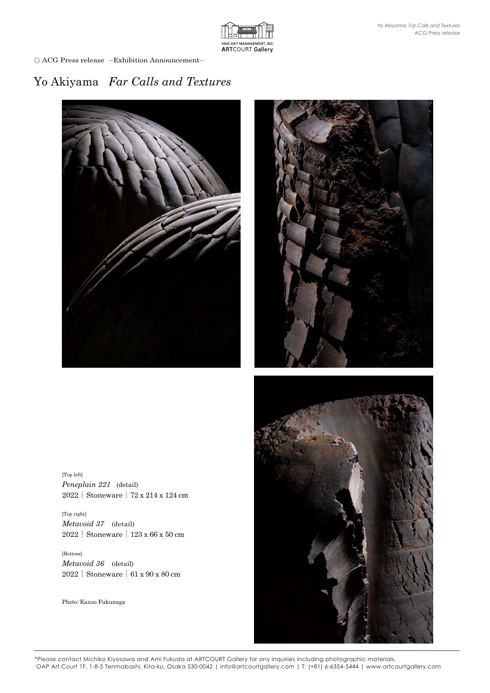

◎ ACG Press release -Exhibition Announcement-

# Yo Akiyama *Far Calls and Textures*





[Top left] *Peneplain 221* (detail) 2022|Stoneware|72 x 214 x 124 cm

[Top right] *Metavoid 37* (detail) 2022|Stoneware|123 x 66 x 50 cm

[Bottom] *Metavoid 36* (detail) 2022|Stoneware|61 x 90 x 80 cm

Photo: Kazuo Fukunaga